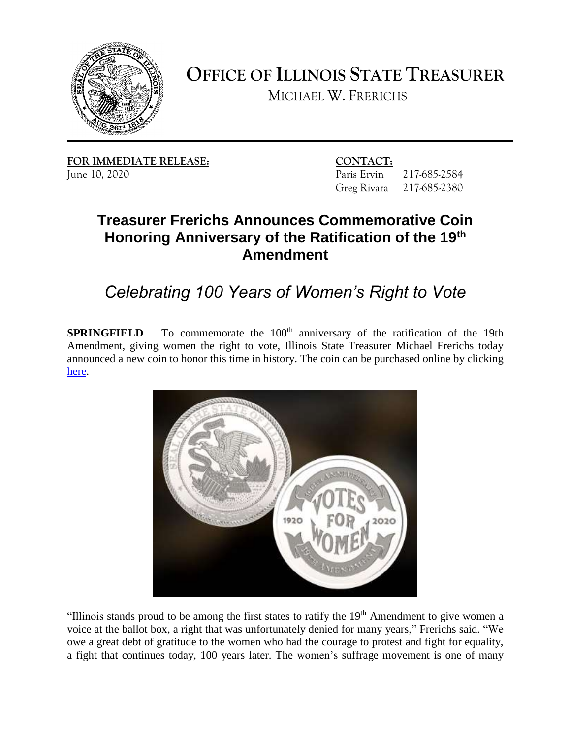

**OFFICE OF ILLINOIS STATE TREASURER** 

MICHAEL W. FRERICHS

FOR IMMEDIATE RELEASE: CONTACT:

217-685-2584 217-685-2380 June 10, 2020 Paris Ervin 217-685-2584 Greg Rivara 217-685-2380

## **Honoring Anniversary of the Ratification of the 19th Treasurer Frerichs Announces Commemorative Coin Amendment**

*Celebrating 100 Years of Women's Right to Vote*

**SPRINGFIELD** – To commemorate the  $100<sup>th</sup>$  anniversary of the ratification of the 19th announced a new coin to honor this time in history. The coin can be purchased online by clicking Amendment, giving women the right to vote, Illinois State Treasurer Michael Frerichs today [here.](https://illinoistreasurer.gov/Office_of_the_Treasurer/19th_Amendment_Commemorative_Coin)



"Illinois stands proud to be among the first states to ratify the  $19<sup>th</sup>$  Amendment to give women a voice at the ballot box, a right that was unfortunately denied for many years," Frerichs said. "We owe a great debt of gratitude to the women who had the courage to protest and fight for equality, a fight that continues today, 100 years later. The women's suffrage movement is one of many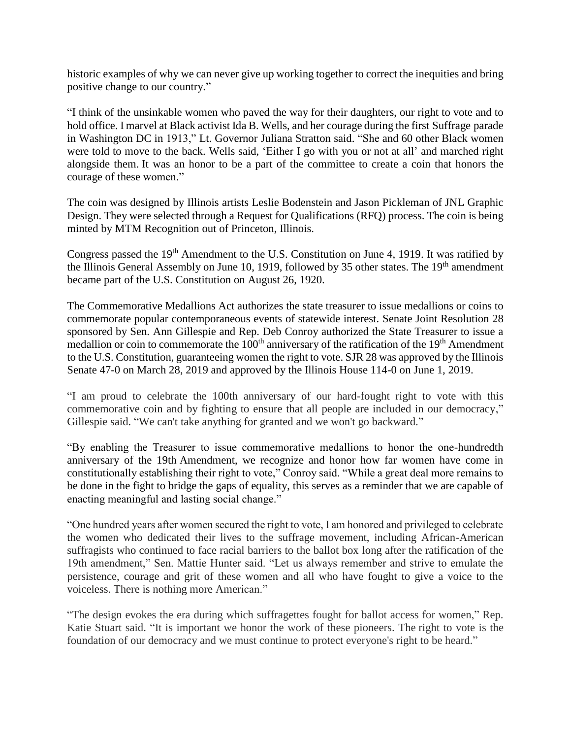historic examples of why we can never give up working together to correct the inequities and bring positive change to our country."

"I think of the unsinkable women who paved the way for their daughters, our right to vote and to hold office. I marvel at Black activist Ida B. Wells, and her courage during the first Suffrage parade in Washington DC in 1913," Lt. Governor Juliana Stratton said. "She and 60 other Black women were told to move to the back. Wells said, 'Either I go with you or not at all' and marched right alongside them. It was an honor to be a part of the committee to create a coin that honors the courage of these women."

 Design. They were selected through a Request for Qualifications (RFQ) process. The coin is being The coin was designed by Illinois artists Leslie Bodenstein and Jason Pickleman of JNL Graphic minted by MTM Recognition out of Princeton, Illinois.

the Illinois General Assembly on June 10, 1919, followed by 35 other states. The 19<sup>th</sup> amendment Congress passed the 19<sup>th</sup> Amendment to the U.S. Constitution on June 4, 1919. It was ratified by became part of the U.S. Constitution on August 26, 1920.

 sponsored by Sen. Ann Gillespie and Rep. Deb Conroy authorized the State Treasurer to issue a to the U.S. Constitution, guaranteeing women the right to vote. SJR 28 was approved by the Illinois The Commemorative Medallions Act authorizes the state treasurer to issue medallions or coins to commemorate popular contemporaneous events of statewide interest. Senate Joint Resolution 28 medallion or coin to commemorate the  $100<sup>th</sup>$  anniversary of the ratification of the  $19<sup>th</sup>$  Amendment Senate 47-0 on March 28, 2019 and approved by the Illinois House 114-0 on June 1, 2019.

 commemorative coin and by fighting to ensure that all people are included in our democracy," "I am proud to celebrate the 100th anniversary of our hard-fought right to vote with this Gillespie said. "We can't take anything for granted and we won't go backward."

 "By enabling the Treasurer to issue commemorative medallions to honor the one-hundredth anniversary of the 19th Amendment, we recognize and honor how far women have come in constitutionally establishing their right to vote," Conroy said. "While a great deal more remains to be done in the fight to bridge the gaps of equality, this serves as a reminder that we are capable of enacting meaningful and lasting social change."

 "One hundred years after women secured the right to vote, I am honored and privileged to celebrate 19th amendment," Sen. Mattie Hunter said. "Let us always remember and strive to emulate the persistence, courage and grit of these women and all who have fought to give a voice to the the women who dedicated their lives to the suffrage movement, including African-American suffragists who continued to face racial barriers to the ballot box long after the ratification of the voiceless. There is nothing more American."

"The design evokes the era during which suffragettes fought for ballot access for women," Rep. Katie Stuart said. "It is important we honor the work of these pioneers. The right to vote is the foundation of our democracy and we must continue to protect everyone's right to be heard."